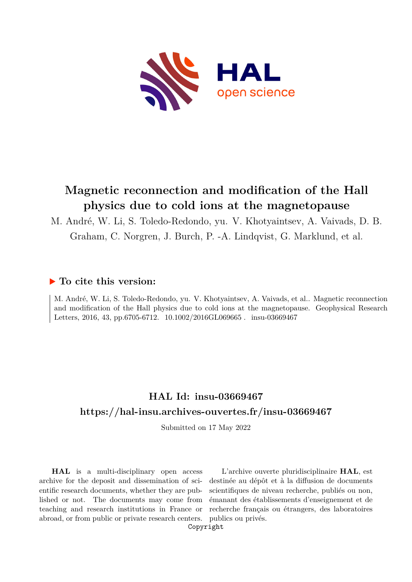

# **Magnetic reconnection and modification of the Hall physics due to cold ions at the magnetopause**

M. André, W. Li, S. Toledo-Redondo, yu. V. Khotyaintsev, A. Vaivads, D. B. Graham, C. Norgren, J. Burch, P. -A. Lindqvist, G. Marklund, et al.

## **To cite this version:**

M. André, W. Li, S. Toledo-Redondo, yu. V. Khotyaintsev, A. Vaivads, et al.. Magnetic reconnection and modification of the Hall physics due to cold ions at the magnetopause. Geophysical Research Letters, 2016, 43, pp.6705-6712. 10.1002/2016GL069665. insu-03669467

# **HAL Id: insu-03669467 <https://hal-insu.archives-ouvertes.fr/insu-03669467>**

Submitted on 17 May 2022

**HAL** is a multi-disciplinary open access archive for the deposit and dissemination of scientific research documents, whether they are published or not. The documents may come from teaching and research institutions in France or abroad, or from public or private research centers.

L'archive ouverte pluridisciplinaire **HAL**, est destinée au dépôt et à la diffusion de documents scientifiques de niveau recherche, publiés ou non, émanant des établissements d'enseignement et de recherche français ou étrangers, des laboratoires publics ou privés.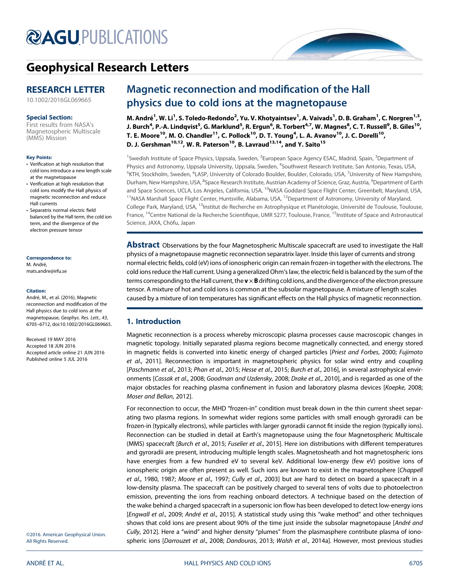

# [Geophysical Research Letters](http://onlinelibrary.wiley.com/journal/10.1002/(ISSN)1944-8007)

## RESEARCH LETTER

[10.1002/2016GL069665](http://dx.doi.org/10.1002/2016GL069665)

#### Special Section:

[First results from NASA's](http://onlinelibrary.wiley.com/journal/10.1002/(ISSN)1944-8007/specialsection/NASA_MMS1) [Magnetospheric Multiscale](http://onlinelibrary.wiley.com/journal/10.1002/(ISSN)1944-8007/specialsection/NASA_MMS1) [\(MMS\) Mission](http://onlinelibrary.wiley.com/journal/10.1002/(ISSN)1944-8007/specialsection/NASA_MMS1)

#### Key Points:

- Verification at high resolution that cold ions introduce a new length scale at the magnetopause
- Verification at high resolution that cold ions modify the Hall physics of magnetic reconnection and reduce Hall currents
- Separatrix normal electric field balanced by the Hall term, the cold ion term, and the divergence of the electron pressure tensor

#### Correspondence to: M. André,

[mats.andre@irfu.se](mailto:mats.andre@irfu.se)

#### Citation:

André, M., et al. (2016), Magnetic reconnection and modification of the Hall physics due to cold ions at the magnetopause, Geophys. Res. Lett., 43, 6705–6712, doi:10.1002/2016GL069665.

Received 19 MAY 2016 Accepted 18 JUN 2016 Accepted article online 21 JUN 2016 Published online 5 JUL 2016

## Magnetic reconnection and modification of the Hall physics due to cold ions at the magnetopause

M. André<sup>1</sup>, W. Li<sup>1</sup>, S. Toledo-Redondo<sup>2</sup>, Yu. V. Khotyaintsev<sup>1</sup>, A. Vaivads<sup>1</sup>, D. B. Graham<sup>1</sup>, C. Norgren<sup>1,3</sup>, J. Burch<sup>4</sup>, P.-A. Lindqvist<sup>5</sup>, G. Marklund<sup>5</sup>, R. Ergun<sup>6</sup>, R. Torbert<sup>4,7</sup>, W. Magnes<sup>8</sup>, C. T. Russell<sup>9</sup>, B. Giles<sup>10</sup>, T. E. Moore<sup>10</sup>, M. O. Chandler<sup>11</sup>, C. Pollock<sup>10</sup>, D. T. Young<sup>4</sup>, L. A. Avanov<sup>10</sup>, J. C. Dorelli<sup>10</sup>, D. J. Gershman<sup>10,12</sup>, W. R. Paterson<sup>10</sup>, B. Lavraud<sup>13,14</sup>, and Y. Saito<sup>15</sup>

<sup>1</sup>Swedish Institute of Space Physics, Uppsala, Sweden, <sup>2</sup>European Space Agency ESAC, Madrid, Spain, <sup>3</sup>Department of Physics and Astronomy, Uppsala University, Uppsala, Sweden, <sup>4</sup>Southwest Research Institute, San Antonio, Texas, USA, <sup>5</sup>KTH, Stockholm, Sweden, <sup>6</sup>LASP, University of Colorado Boulder, Boulder, Colorado, USA, <sup>7</sup>University of New Hampshire, Durham, New Hampshire, USA, <sup>8</sup>Space Research Institute, Austrian Academy of Science, Graz, Austria, <sup>9</sup>Department of Earth and Space Sciences, UCLA, Los Angeles, California, USA, <sup>10</sup>NASA Goddard Space Flight Center, Greenbelt, Maryland, USA, <sup>11</sup>NASA Marshall Space Flight Center, Huntsville, Alabama, USA,  $12D$ epartment of Astronomy, University of Maryland, College Park, Maryland, USA, <sup>13</sup>Institut de Recherche en Astrophysique et Planétologie, Université de Toulouse, Toulouse, France, <sup>14</sup>Centre National de la Recherche Scientifique, UMR 5277, Toulouse, France, <sup>15</sup>Institute of Space and Astronautical Science, JAXA, Chōfu, Japan

Abstract Observations by the four Magnetospheric Multiscale spacecraft are used to investigate the Hall physics of a magnetopause magnetic reconnection separatrix layer. Inside this layer of currents and strong normal electric fields, cold (eV) ions of ionospheric origin can remain frozen-in together with the electrons. The cold ions reduce the Hall current. Using a generalized Ohm's law, the electric field is balanced by the sum of the terms corresponding to the Hall current, the  $v \times B$  drifting cold ions, and the divergence of the electron pressure tensor. A mixture of hot and cold ions is common at the subsolar magnetopause. A mixture of length scales caused by a mixture of ion temperatures has significant effects on the Hall physics of magnetic reconnection.

### 1. Introduction

Magnetic reconnection is a process whereby microscopic plasma processes cause macroscopic changes in magnetic topology. Initially separated plasma regions become magnetically connected, and energy stored in magnetic fields is converted into kinetic energy of charged particles [Priest and Forbes, 2000; Fujimoto et al., 2011]. Reconnection is important in magnetospheric physics for solar wind entry and coupling [Paschmann et al., 2013; Phan et al., 2015; Hesse et al., 2015; Burch et al., 2016], in several astrophysical environments [Cassak et al., 2008; Goodman and Uzdensky, 2008; Drake et al., 2010], and is regarded as one of the major obstacles for reaching plasma confinement in fusion and laboratory plasma devices [Koepke, 2008; Moser and Bellan, 2012].

For reconnection to occur, the MHD "frozen-in" condition must break down in the thin current sheet separating two plasma regions. In somewhat wider regions some particles with small enough gyroradii can be frozen-in (typically electrons), while particles with larger gyroradii cannot fit inside the region (typically ions). Reconnection can be studied in detail at Earth's magnetopause using the four Magnetospheric Multiscale (MMS) spacecraft [Burch et al., 2015; Fuselier et al., 2015]. Here ion distributions with different temperatures and gyroradii are present, introducing multiple length scales. Magnetosheath and hot magnetospheric ions have energies from a few hundred eV to several keV. Additional low-energy (few eV) positive ions of ionospheric origin are often present as well. Such ions are known to exist in the magnetosphere [Chappell] et al., 1980, 1987; Moore et al., 1997; Cully et al., 2003] but are hard to detect on board a spacecraft in a low-density plasma. The spacecraft can be positively charged to several tens of volts due to photoelectron emission, preventing the ions from reaching onboard detectors. A technique based on the detection of the wake behind a charged spacecraft in a supersonic ion flow has been developed to detect low-energy ions [Engwall et al., 2009; André et al., 2015]. A statistical study using this "wake method" and other techniques shows that cold ions are present about 90% of the time just inside the subsolar magnetopause [André and Cully, 2012]. Here a "wind" and higher density "plumes" from the plasmasphere contribute plasma of ionospheric ions [Darrouzet et al., 2008; Dandouras, 2013; Walsh et al., 2014a]. However, most previous studies

©2016. American Geophysical Union. All Rights Reserved.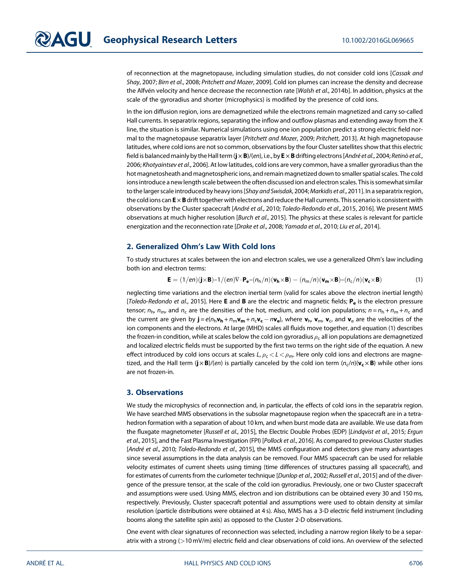of reconnection at the magnetopause, including simulation studies, do not consider cold ions [Cassak and Shay, 2007; Birn et al., 2008; Pritchett and Mozer, 2009]. Cold ion plumes can increase the density and decrease the Alfvén velocity and hence decrease the reconnection rate [Walsh et al., 2014b]. In addition, physics at the scale of the gyroradius and shorter (microphysics) is modified by the presence of cold ions.

In the ion diffusion region, ions are demagnetized while the electrons remain magnetized and carry so-called Hall currents. In separatrix regions, separating the inflow and outflow plasmas and extending away from the X line, the situation is similar. Numerical simulations using one ion population predict a strong electric field normal to the magnetopause separatrix layer [Pritchett and Mozer, 2009; Pritchett, 2013]. At high magnetopause latitudes, where cold ions are not so common, observations by the four Cluster satellites show that this electric field is balanced mainly by the Hall term ( $j \times B$ )/(en), i.e., by  $E \times B$  drifting electrons [André et al., 2004; Retinò et al., 2006; Khotyaintsev et al., 2006]. At low latitudes, cold ions are very common, have a smaller gyroradius than the hot magnetosheath and magnetospheric ions, and remain magnetized down to smaller spatial scales. The cold ions introduce a new length scale between the often discussed ion and electron scales. This is somewhat similar to the larger scale introduced by heavy ions [Shay and Swisdak, 2004; Markidis et al., 2011]. In a separatrix region, the cold ions can  $E \times B$  drift together with electrons and reduce the Hall currents. This scenario is consistent with observations by the Cluster spacecraft [André et al., 2010; Toledo-Redondo et al., 2015, 2016]. We present MMS observations at much higher resolution [Burch et al., 2015]. The physics at these scales is relevant for particle energization and the reconnection rate [Drake et al., 2008; Yamada et al., 2010; Liu et al., 2014].

### 2. Generalized Ohm's Law With Cold Ions

To study structures at scales between the ion and electron scales, we use a generalized Ohm's law including both ion and electron terms:

$$
\mathbf{E} = (1/en)(\mathbf{j} \times \mathbf{B}) - 1/(en)\nabla \cdot \mathbf{P_e} - (n_h/n)(\mathbf{v_h} \times \mathbf{B}) - (n_m/n)(\mathbf{v_m} \times \mathbf{B}) - (n_c/n)(\mathbf{v_c} \times \mathbf{B})
$$
(1)

neglecting time variations and the electron inertial term (valid for scales above the electron inertial length) [Toledo-Redondo et al., 2015]. Here **E** and **B** are the electric and magnetic fields;  $P_e$  is the electron pressure tensor;  $n_h$ ,  $n_m$ , and  $n_c$  are the densities of the hot, medium, and cold ion populations;  $n = n_h + n_m + n_c$  and the current are given by  $\mathbf{j} = e(n_h \mathbf{v_h} + n_m \mathbf{v_m} + n_c \mathbf{v_c} - n \mathbf{v_e})$ , where  $\mathbf{v_h}$ ,  $\mathbf{v_m}$ ,  $\mathbf{v_c}$ , and  $\mathbf{v_e}$  are the velocities of the ion components and the electrons. At large (MHD) scales all fluids move together, and equation (1) describes the frozen-in condition, while at scales below the cold ion gyroradius  $\rho_c$  all ion populations are demagnetized and localized electric fields must be supported by the first two terms on the right side of the equation. A new effect introduced by cold ions occurs at scales L,  $\rho_c < L < \rho_m$ . Here only cold ions and electrons are magnetized, and the Hall term  $(j \times B)/(en)$  is partially canceled by the cold ion term  $(n_c/n)(v_c \times B)$  while other ions are not frozen-in.

### 3. Observations

We study the microphysics of reconnection and, in particular, the effects of cold ions in the separatrix region. We have searched MMS observations in the subsolar magnetopause region when the spacecraft are in a tetrahedron formation with a separation of about 10 km, and when burst mode data are available. We use data from the fluxgate magnetometer [Russell et al., 2015], the Electric Double Probes (EDP) [Lindqvist et al., 2015; Ergun et al., 2015], and the Fast Plasma Investigation (FPI) [Pollock et al., 2016]. As compared to previous Cluster studies [André et al., 2010; Toledo-Redondo et al., 2015], the MMS configuration and detectors give many advantages since several assumptions in the data analysis can be removed. Four MMS spacecraft can be used for reliable velocity estimates of current sheets using timing (time differences of structures passing all spacecraft), and for estimates of currents from the curlometer technique [Dunlop et al., 2002; Russell et al., 2015] and of the divergence of the pressure tensor, at the scale of the cold ion gyroradius. Previously, one or two Cluster spacecraft and assumptions were used. Using MMS, electron and ion distributions can be obtained every 30 and 150 ms, respectively. Previously, Cluster spacecraft potential and assumptions were used to obtain density at similar resolution (particle distributions were obtained at 4 s). Also, MMS has a 3-D electric field instrument (including booms along the satellite spin axis) as opposed to the Cluster 2-D observations.

One event with clear signatures of reconnection was selected, including a narrow region likely to be a separatrix with a strong (>10 mV/m) electric field and clear observations of cold ions. An overview of the selected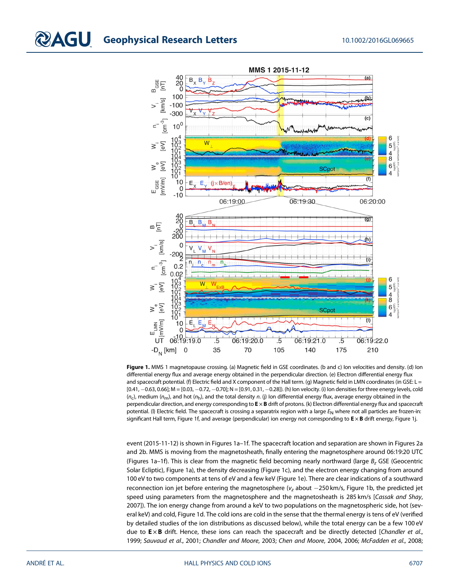

Figure 1. MMS 1 magnetopause crossing. (a) Magnetic field in GSE coordinates. (b and c) Ion velocities and density. (d) Ion differential energy flux and average energy obtained in the perpendicular direction. (e) Electron differential energy flux and spacecraft potential. (f) Electric field and X component of the Hall term. (g) Magnetic field in LMN coordinates (in GSE:  $L =$  $[0.41, -0.63, 0.66]$ ; M =  $[0.03, -0.72, -0.70]$ ; N =  $[0.91, 0.31, -0.28]$ ). (h) Ion velocity. (i) Ion densities for three energy levels, cold  $(n_c)$ , medium  $(n_m)$ , and hot  $(n_h)$ , and the total density n. (j) Ion differential energy flux, average energy obtained in the perpendicular direction, and energy corresponding to  $E \times B$  drift of protons. (k) Electron differential energy flux and spacecraft potential. (I) Electric field. The spacecraft is crossing a separatrix region with a large  $E_N$  where not all particles are frozen-in: significant Hall term, Figure 1f, and average (perpendicular) ion energy not corresponding to  $E \times B$  drift energy, Figure 1j.

event (2015-11-12) is shown in Figures 1a–1f. The spacecraft location and separation are shown in Figures 2a and 2b. MMS is moving from the magnetosheath, finally entering the magnetosphere around 06:19:20 UTC (Figures 1a–1f). This is clear from the magnetic field becoming nearly northward (large  $B_z$  GSE (Geocentric Solar Ecliptic), Figure 1a), the density decreasing (Figure 1c), and the electron energy changing from around 100 eV to two components at tens of eV and a few keV (Figure 1e). There are clear indications of a southward reconnection ion jet before entering the magnetosphere ( $v<sub>z</sub>$  about  $-250$  km/s, Figure 1b, the predicted jet speed using parameters from the magnetosphere and the magnetosheath is 285 km/s [Cassak and Shay, 2007]). The ion energy change from around a keV to two populations on the magnetospheric side, hot (several keV) and cold, Figure 1d. The cold ions are cold in the sense that the thermal energy is tens of eV (verified by detailed studies of the ion distributions as discussed below), while the total energy can be a few 100 eV due to  $E \times B$  drift. Hence, these ions can reach the spacecraft and be directly detected [Chandler et al., 1999; Sauvaud et al., 2001; Chandler and Moore, 2003; Chen and Moore, 2004, 2006; McFadden et al., 2008;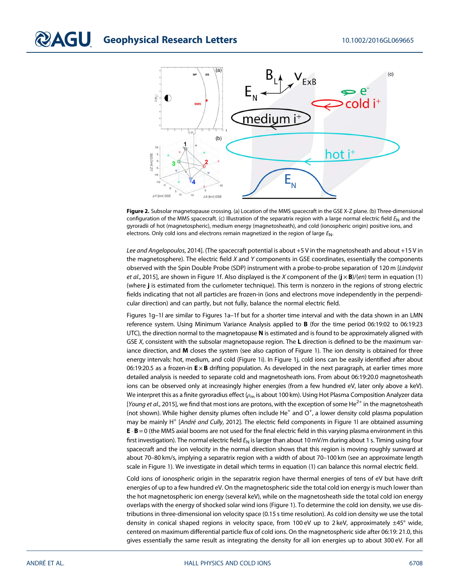

Figure 2. Subsolar magnetopause crossing. (a) Location of the MMS spacecraft in the GSE X-Z plane. (b) Three-dimensional configuration of the MMS spacecraft. (c) Illustration of the separatrix region with a large normal electric field  $E_N$  and the gyroradii of hot (magnetospheric), medium energy (magnetosheath), and cold (ionospheric origin) positive ions, and electrons. Only cold ions and electrons remain magnetized in the region of large  $E_N$ .

Lee and Angelopoulos, 2014]. (The spacecraft potential is about +5 V in the magnetosheath and about +15 V in the magnetosphere). The electric field  $X$  and  $Y$  components in GSE coordinates, essentially the components observed with the Spin Double Probe (SDP) instrument with a probe-to-probe separation of 120 m [Lindqvist et al., 2015], are shown in Figure 1f. Also displayed is the X component of the  $(i \times B)/(en)$  term in equation (1) (where j is estimated from the curlometer technique). This term is nonzero in the regions of strong electric fields indicating that not all particles are frozen-in (ions and electrons move independently in the perpendicular direction) and can partly, but not fully, balance the normal electric field.

Figures 1g–1l are similar to Figures 1a–1f but for a shorter time interval and with the data shown in an LMN reference system. Using Minimum Variance Analysis applied to B (for the time period 06:19:02 to 06:19:23 UTC), the direction normal to the magnetopause  $N$  is estimated and is found to be approximately aligned with GSE X, consistent with the subsolar magnetopause region. The L direction is defined to be the maximum variance direction, and M closes the system (see also caption of Figure 1). The ion density is obtained for three energy intervals: hot, medium, and cold (Figure 1i). In Figure 1j, cold ions can be easily identified after about 06:19:20.5 as a frozen-in  $E \times B$  drifting population. As developed in the next paragraph, at earlier times more detailed analysis is needed to separate cold and magnetosheath ions. From about 06:19:20.0 magnetosheath ions can be observed only at increasingly higher energies (from a few hundred eV, later only above a keV). We interpret this as a finite gyroradius effect  $(\rho_m)$  is about 100 km). Using Hot Plasma Composition Analyzer data [Young et al., 2015], we find that most ions are protons, with the exception of some He<sup>2+</sup> in the magnetosheath (not shown). While higher density plumes often include He<sup>+</sup> and O<sup>+</sup>, a lower density cold plasma population may be mainly H<sup>+</sup> [André and Cully, 2012]. The electric field components in Figure 1l are obtained assuming  $E \cdot B = 0$  (the MMS axial booms are not used for the final electric field in this varying plasma environment in this first investigation). The normal electric field  $E_N$  is larger than about 10 mV/m during about 1 s. Timing using four spacecraft and the ion velocity in the normal direction shows that this region is moving roughly sunward at about 70–80 km/s, implying a separatrix region with a width of about 70–100 km (see an approximate length scale in Figure 1). We investigate in detail which terms in equation (1) can balance this normal electric field.

Cold ions of ionospheric origin in the separatrix region have thermal energies of tens of eV but have drift energies of up to a few hundred eV. On the magnetospheric side the total cold ion energy is much lower than the hot magnetospheric ion energy (several keV), while on the magnetosheath side the total cold ion energy overlaps with the energy of shocked solar wind ions (Figure 1). To determine the cold ion density, we use distributions in three-dimensional ion velocity space (0.15 s time resolution). As cold ion density we use the total density in conical shaped regions in velocity space, from 100 eV up to 2 keV, approximately ±45° wide, centered on maximum differential particle flux of cold ions. On the magnetospheric side after 06:19: 21.0, this gives essentially the same result as integrating the density for all ion energies up to about 300 eV. For all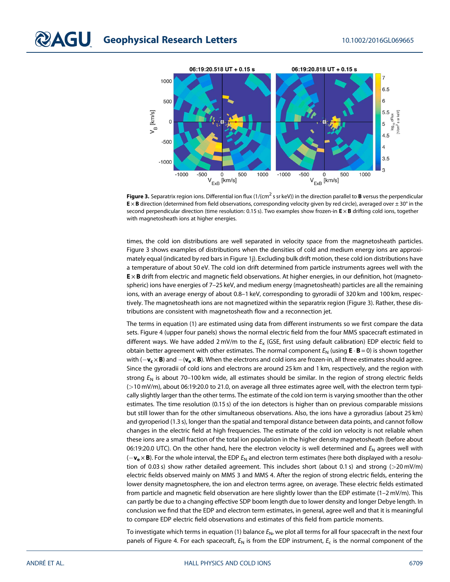

**Figure 3.** Separatrix region ions. Differential ion flux (1/(cm<sup>2</sup> s sr keV)) in the direction parallel to **B** versus the perpendicular  $E \times B$  direction (determined from field observations, corresponding velocity given by red circle), averaged over  $\pm 30^\circ$  in the second perpendicular direction (time resolution: 0.15 s). Two examples show frozen-in  $E \times B$  drifting cold ions, together with magnetosheath ions at higher energies.

times, the cold ion distributions are well separated in velocity space from the magnetosheath particles. Figure 3 shows examples of distributions when the densities of cold and medium energy ions are approximately equal (indicated by red bars in Figure 1j). Excluding bulk drift motion, these cold ion distributions have a temperature of about 50 eV. The cold ion drift determined from particle instruments agrees well with the E × B drift from electric and magnetic field observations. At higher energies, in our definition, hot (magnetospheric) ions have energies of 7–25 keV, and medium energy (magnetosheath) particles are all the remaining ions, with an average energy of about 0.8–1 keV, corresponding to gyroradii of 320 km and 100 km, respectively. The magnetosheath ions are not magnetized within the separatrix region (Figure 3). Rather, these distributions are consistent with magnetosheath flow and a reconnection jet.

The terms in equation (1) are estimated using data from different instruments so we first compare the data sets. Figure 4 (upper four panels) shows the normal electric field from the four MMS spacecraft estimated in different ways. We have added 2 mV/m to the  $E_x$  (GSE, first using default calibration) EDP electric field to obtain better agreement with other estimates. The normal component  $E_N$  (using  $\mathbf{E} \cdot \mathbf{B} = 0$ ) is shown together with  $(-v_c \times B)$  and  $-(v_e \times B)$ . When the electrons and cold ions are frozen-in, all three estimates should agree. Since the gyroradii of cold ions and electrons are around 25 km and 1 km, respectively, and the region with strong  $E_N$  is about 70–100 km wide, all estimates should be similar. In the region of strong electric fields (>10 mV/m), about 06:19:20.0 to 21.0, on average all three estimates agree well, with the electron term typically slightly larger than the other terms. The estimate of the cold ion term is varying smoother than the other estimates. The time resolution (0.15 s) of the ion detectors is higher than on previous comparable missions but still lower than for the other simultaneous observations. Also, the ions have a gyroradius (about 25 km) and gyroperiod (1.3 s), longer than the spatial and temporal distance between data points, and cannot follow changes in the electric field at high frequencies. The estimate of the cold ion velocity is not reliable when these ions are a small fraction of the total ion population in the higher density magnetosheath (before about 06:19:20.0 UTC). On the other hand, here the electron velocity is well determined and  $E_N$  agrees well with  $(-v_e \times B)$ . For the whole interval, the EDP  $E_N$  and electron term estimates (here both displayed with a resolution of 0.03 s) show rather detailed agreement. This includes short (about 0.1 s) and strong (>20 mV/m) electric fields observed mainly on MMS 3 and MMS 4. After the region of strong electric fields, entering the lower density magnetosphere, the ion and electron terms agree, on average. These electric fields estimated from particle and magnetic field observation are here slightly lower than the EDP estimate (1–2 mV/m). This can partly be due to a changing effective SDP boom length due to lower density and longer Debye length. In conclusion we find that the EDP and electron term estimates, in general, agree well and that it is meaningful to compare EDP electric field observations and estimates of this field from particle moments.

To investigate which terms in equation (1) balance  $E_N$ , we plot all terms for all four spacecraft in the next four panels of Figure 4. For each spacecraft,  $E_N$  is from the EDP instrument,  $E_c$  is the normal component of the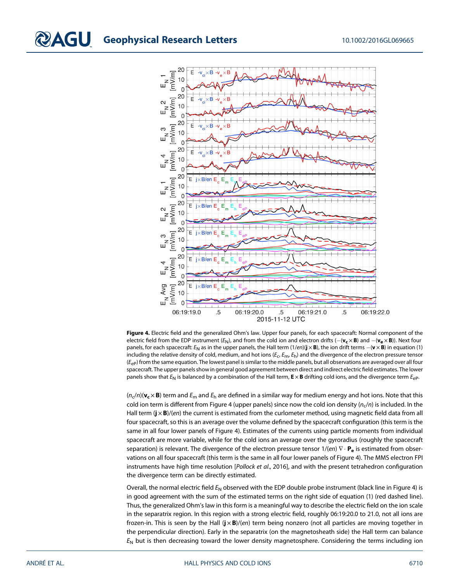

Figure 4. Electric field and the generalized Ohm's law. Upper four panels, for each spacecraft: Normal component of the electric field from the EDP instrument ( $E_N$ ), and from the cold ion and electron drifts ( $-(v_c \times B)$ ) and  $-(v_e \times B)$ ). Next four panels, for each spacecraft:  $E_N$  as in the upper panels, the Hall term (1/en)( $\mathbf{j} \times \mathbf{B}$ ), the ion drift terms  $-(\mathbf{v} \times \mathbf{B})$  in equation (1) including the relative density of cold, medium, and hot ions ( $E_c$ ,  $E_m$ ,  $E_h$ ) and the divergence of the electron pressure tensor  $(E_{ep})$  from the same equation. The lowest panel is similar to the middle panels, but all observations are averaged over all four spacecraft. The upper panels show in general good agreement between direct and indirect electric field estimates. The lower panels show that  $E_N$  is balanced by a combination of the Hall term,  $E \times B$  drifting cold ions, and the divergence term  $E_{\rm eP}$ .

 $(n_c/n)(\mathbf{v_c} \times \mathbf{B})$  term and  $E_m$  and  $E_h$  are defined in a similar way for medium energy and hot ions. Note that this cold ion term is different from Figure 4 (upper panels) since now the cold ion density ( $n_c/n$ ) is included. In the Hall term  $(j \times B)/(en)$  the current is estimated from the curlometer method, using magnetic field data from all four spacecraft, so this is an average over the volume defined by the spacecraft configuration (this term is the same in all four lower panels of Figure 4). Estimates of the currents using particle moments from individual spacecraft are more variable, while for the cold ions an average over the gyroradius (roughly the spacecraft separation) is relevant. The divergence of the electron pressure tensor  $1/(en) \nabla \cdot \mathbf{P}_e$  is estimated from observations on all four spacecraft (this term is the same in all four lower panels of Figure 4). The MMS electron FPI instruments have high time resolution [Pollock et al., 2016], and with the present tetrahedron configuration the divergence term can be directly estimated.

Overall, the normal electric field  $E_N$  observed with the EDP double probe instrument (black line in Figure 4) is in good agreement with the sum of the estimated terms on the right side of equation (1) (red dashed line). Thus, the generalized Ohm's law in this form is a meaningful way to describe the electric field on the ion scale in the separatrix region. In this region with a strong electric field, roughly 06:19:20.0 to 21.0, not all ions are frozen-in. This is seen by the Hall  $(\mathbf{j} \times \mathbf{B})/(en)$  term being nonzero (not all particles are moving together in the perpendicular direction). Early in the separatrix (on the magnetosheath side) the Hall term can balance  $E_N$  but is then decreasing toward the lower density magnetosphere. Considering the terms including ion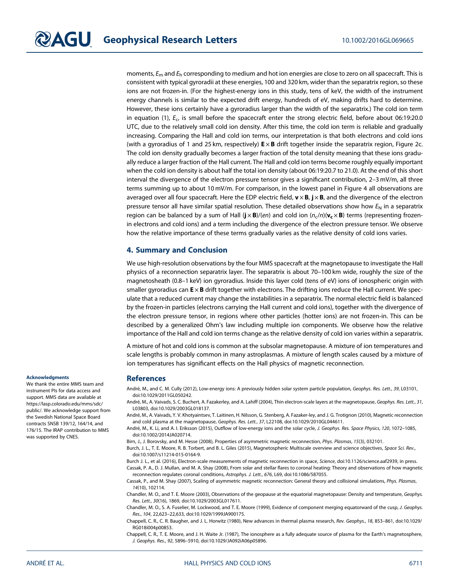moments,  $E_m$  and  $E_h$  corresponding to medium and hot ion energies are close to zero on all spacecraft. This is consistent with typical gyroradii at these energies, 100 and 320 km, wider than the separatrix region, so these ions are not frozen-in. (For the highest-energy ions in this study, tens of keV, the width of the instrument energy channels is similar to the expected drift energy, hundreds of eV, making drifts hard to determine. However, these ions certainly have a gyroradius larger than the width of the separatrix.) The cold ion term in equation (1),  $E_c$ , is small before the spacecraft enter the strong electric field, before about 06:19:20.0 UTC, due to the relatively small cold ion density. After this time, the cold ion term is reliable and gradually increasing. Comparing the Hall and cold ion terms, our interpretation is that both electrons and cold ions (with a gyroradius of 1 and 25 km, respectively)  $E \times B$  drift together inside the separatrix region, Figure 2c. The cold ion density gradually becomes a larger fraction of the total density meaning that these ions gradually reduce a larger fraction of the Hall current. The Hall and cold ion terms become roughly equally important when the cold ion density is about half the total ion density (about 06:19:20.7 to 21.0). At the end of this short interval the divergence of the electron pressure tensor gives a significant contribution, 2–3 mV/m, all three terms summing up to about 10 mV/m. For comparison, in the lowest panel in Figure 4 all observations are averaged over all four spacecraft. Here the EDP electric field,  $v \times B$ ,  $j \times B$ , and the divergence of the electron pressure tensor all have similar spatial resolution. These detailed observations show how  $E_N$  in a separatrix region can be balanced by a sum of Hall  $(j \times B)/(en)$  and cold ion  $(n_c/n)(v_c \times B)$  terms (representing frozenin electrons and cold ions) and a term including the divergence of the electron pressure tensor. We observe how the relative importance of these terms gradually varies as the relative density of cold ions varies.

### 4. Summary and Conclusion

We use high-resolution observations by the four MMS spacecraft at the magnetopause to investigate the Hall physics of a reconnection separatrix layer. The separatrix is about 70–100 km wide, roughly the size of the magnetosheath (0.8–1 keV) ion gyroradius. Inside this layer cold (tens of eV) ions of ionospheric origin with smaller gyroradius can  $E \times B$  drift together with electrons. The drifting ions reduce the Hall current. We speculate that a reduced current may change the instabilities in a separatrix. The normal electric field is balanced by the frozen-in particles (electrons carrying the Hall current and cold ions), together with the divergence of the electron pressure tensor, in regions where other particles (hotter ions) are not frozen-in. This can be described by a generalized Ohm's law including multiple ion components. We observe how the relative importance of the Hall and cold ion terms change as the relative density of cold ion varies within a separatrix.

A mixture of hot and cold ions is common at the subsolar magnetopause. A mixture of ion temperatures and scale lengths is probably common in many astroplasmas. A mixture of length scales caused by a mixture of ion temperatures has significant effects on the Hall physics of magnetic reconnection.

#### References

André, M., and C. M. Cully (2012), Low-energy ions: A previously hidden solar system particle population, Geophys. Res. Lett., 39, L03101, doi[:10.1029/2011GL050242](http://dx.doi.org/10.1029/2011GL050242).

André, M., A. Vaivads, S. C. Buchert, A. Fazakerley, and A. Lahiff (2004), Thin electron-scale layers at the magnetopause, Geophys. Res. Lett., 31, L03803, doi:[10.1029/2003GL018137](http://dx.doi.org/10.1029/2003GL018137).

André, M., A. Vaivads, Y. V. Khotyaintsev, T. Laitinen, H. Nilsson, G. Stenberg, A. Fazaker-ley, and J. G. Trotignon (2010), Magnetic reconnection and cold plasma at the magnetopause, Geophys. Res. Lett., 37, L22108, doi:[10.1029/2010GL044611.](http://dx.doi.org/10.1029/2010GL044611)

André, M., K. Li, and A. I. Eriksson (2015), Outflow of low-energy ions and the solar cycle, J. Geophys. Res. Space Physics, 120, 1072–1085, doi[:10.1002/2014JA020714](http://dx.doi.org/10.1002/2014JA020714).

Birn, J., J. Borovsky, and M. Hesse (2008), Properties of asymmetric magnetic reconnection, Phys. Plasmas, 15(3), 032101.

Burch, J. L., T. E. Moore, R. B. Torbert, and B. L. Giles (2015), Magnetospheric Multiscale overview and science objectives, Space Sci. Rev., doi[:10.1007/s11214-015-0164-9](http://dx.doi.org/10.1007/s11214-015-0164-9).

Burch J. L., et al. (2016), Electron-scale measurements of magnetic reconnection in space, Science, doi:[10.1126/science.aaf2939,](http://dx.doi.org/10.1126/science.aaf2939) in press. Cassak, P. A., D. J. Mullan, and M. A. Shay (2008), From solar and stellar flares to coronal heating: Theory and observations of how magnetic reconnection regulates coronal conditions, Astrophys. J. Lett., 676, L69, doi:[10.1086/587055](http://dx.doi.org/10.1086/587055).

Cassak, P., and M. Shay (2007), Scaling of asymmetric magnetic reconnection: General theory and collisional simulations, Phys. Plasmas, 14(10), 102114.

Chandler, M. O., and T. E. Moore (2003), Observations of the geopause at the equatorial magnetopause: Density and temperature, Geophys. Res. Lett., 30(16), 1869, doi[:10.1029/2003GL017611.](http://dx.doi.org/10.1029/2003GL017611)

Chandler, M. O., S. A. Fuselier, M. Lockwood, and T. E. Moore (1999), Evidence of component merging equatorward of the cusp, J. Geophys. Res., 104, 22,623–22,633, doi[:10.1029/1999JA900175](http://dx.doi.org/10.1029/1999JA900175).

Chappell, C. R., C. R. Baugher, and J. L. Horwitz (1980), New advances in thermal plasma research, Rev. Geophys., 18, 853–861, doi[:10.1029/](http://dx.doi.org/10.1029/RG018i004p00853) [RG018i004p00853.](http://dx.doi.org/10.1029/RG018i004p00853)

Chappell, C. R., T. E. Moore, and J. H. Waite Jr. (1987), The ionosphere as a fully adequate source of plasma for the Earth's magnetosphere, J. Geophys. Res., 92, 5896–5910, doi[:10.1029/JA092iA06p05896.](http://dx.doi.org/10.1029/JA092iA06p05896)

#### Acknowledgments

We thank the entire MMS team and instrument PIs for data access and support. MMS data are available at [https://lasp.colorado.edu/mms/sdc/](https://lasp.colorado.edu/mms/sdc/public/) [public/](https://lasp.colorado.edu/mms/sdc/public/). We acknowledge support from the Swedish National Space Board contracts SNSB 139/12, 164/14, and 176/15. The IRAP contribution to MMS was supported by CNES.